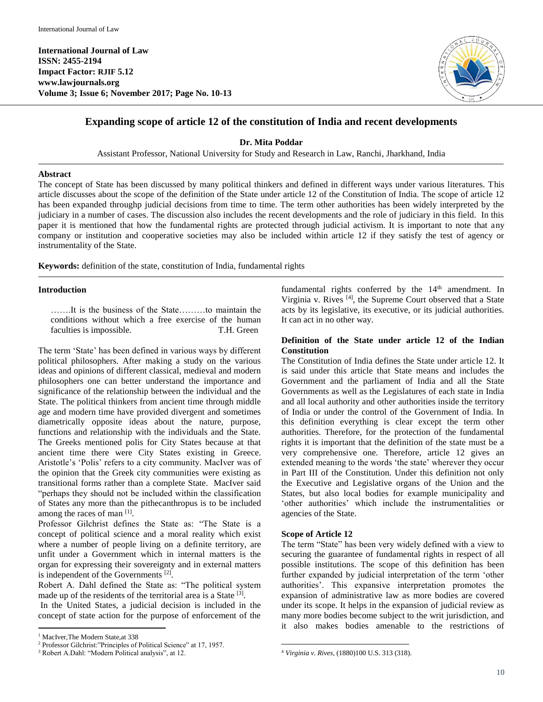

# **Expanding scope of article 12 of the constitution of India and recent developments**

**Dr. Mita Poddar**

Assistant Professor, National University for Study and Research in Law, Ranchi, Jharkhand, India

### **Abstract**

The concept of State has been discussed by many political thinkers and defined in different ways under various literatures. This article discusses about the scope of the definition of the State under article 12 of the Constitution of India. The scope of article 12 has been expanded throughp judicial decisions from time to time. The term other authorities has been widely interpreted by the judiciary in a number of cases. The discussion also includes the recent developments and the role of judiciary in this field. In this paper it is mentioned that how the fundamental rights are protected through judicial activism. It is important to note that any company or institution and cooperative societies may also be included within article 12 if they satisfy the test of agency or instrumentality of the State.

**Keywords:** definition of the state, constitution of India, fundamental rights

#### **Introduction**

…….It is the business of the State………to maintain the conditions without which a free exercise of the human faculties is impossible. T.H. Green

The term 'State' has been defined in various ways by different political philosophers. After making a study on the various ideas and opinions of different classical, medieval and modern philosophers one can better understand the importance and significance of the relationship between the individual and the State. The political thinkers from ancient time through middle age and modern time have provided divergent and sometimes diametrically opposite ideas about the nature, purpose, functions and relationship with the individuals and the State. The Greeks mentioned polis for City States because at that ancient time there were City States existing in Greece. Aristotle's 'Polis' refers to a city community. MacIver was of the opinion that the Greek city communities were existing as transitional forms rather than a complete State. MacIver said "perhaps they should not be included within the classification of States any more than the pithecanthropus is to be included among the races of man [1].

Professor Gilchrist defines the State as: "The State is a concept of political science and a moral reality which exist where a number of people living on a definite territory, are unfit under a Government which in internal matters is the organ for expressing their sovereignty and in external matters is independent of the Governments<sup>[2]</sup>.

Robert A. Dahl defined the State as: "The political system made up of the residents of the territorial area is a State [3].

In the United States, a judicial decision is included in the concept of state action for the purpose of enforcement of the

 $\overline{a}$ 

fundamental rights conferred by the  $14<sup>th</sup>$  amendment. In Virginia v. Rives [4], the Supreme Court observed that a State acts by its legislative, its executive, or its judicial authorities. It can act in no other way.

# **Definition of the State under article 12 of the Indian Constitution**

The Constitution of India defines the State under article 12. It is said under this article that State means and includes the Government and the parliament of India and all the State Governments as well as the Legislatures of each state in India and all local authority and other authorities inside the territory of India or under the control of the Government of India. In this definition everything is clear except the term other authorities. Therefore, for the protection of the fundamental rights it is important that the definition of the state must be a very comprehensive one. Therefore, article 12 gives an extended meaning to the words 'the state' wherever they occur in Part III of the Constitution. Under this definition not only the Executive and Legislative organs of the Union and the States, but also local bodies for example municipality and 'other authorities' which include the instrumentalities or agencies of the State.

# **Scope of Article 12**

The term "State" has been very widely defined with a view to securing the guarantee of fundamental rights in respect of all possible institutions. The scope of this definition has been further expanded by judicial interpretation of the term 'other authorities'. This expansive interpretation promotes the expansion of administrative law as more bodies are covered under its scope. It helps in the expansion of judicial review as many more bodies become subject to the writ jurisdiction, and it also makes bodies amenable to the restrictions of

<sup>&</sup>lt;sup>1</sup> MacIver, The Modern State, at 338

<sup>2</sup> Professor Gilchrist:"Principles of Political Science" at 17, 1957.

<sup>3</sup> Robert A.Dahl: "Modern Political analysis", at 12.

 $\ddot{\phantom{a}}$ <sup>4</sup> *Virginia v. Rives,* (1880)100 U.S. 313 (318).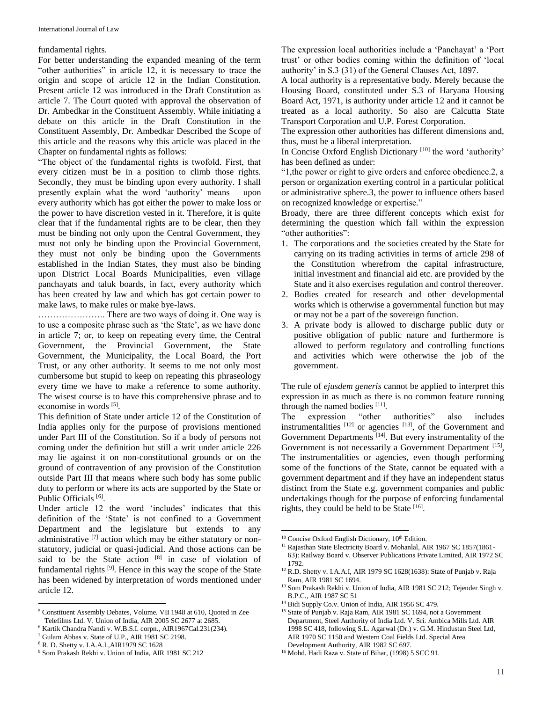#### fundamental rights.

For better understanding the expanded meaning of the term "other authorities" in article 12, it is necessary to trace the origin and scope of article 12 in the Indian Constitution. Present article 12 was introduced in the Draft Constitution as article 7. The Court quoted with approval the observation of Dr. Ambedkar in the Constituent Assembly. While initiating a debate on this article in the Draft Constitution in the Constituent Assembly, Dr. Ambedkar Described the Scope of this article and the reasons why this article was placed in the Chapter on fundamental rights as follows:

"The object of the fundamental rights is twofold. First, that every citizen must be in a position to climb those rights. Secondly, they must be binding upon every authority. I shall presently explain what the word 'authority' means – upon every authority which has got either the power to make loss or the power to have discretion vested in it. Therefore, it is quite clear that if the fundamental rights are to be clear, then they must be binding not only upon the Central Government, they must not only be binding upon the Provincial Government, they must not only be binding upon the Governments established in the Indian States, they must also be binding upon District Local Boards Municipalities, even village panchayats and taluk boards, in fact, every authority which has been created by law and which has got certain power to make laws, to make rules or make bye-laws.

………………….. There are two ways of doing it. One way is to use a composite phrase such as 'the State', as we have done in article 7; or, to keep on repeating every time, the Central Government, the Provincial Government, the State Government, the Municipality, the Local Board, the Port Trust, or any other authority. It seems to me not only most cumbersome but stupid to keep on repeating this phraseology every time we have to make a reference to some authority. The wisest course is to have this comprehensive phrase and to economise in words [5].

This definition of State under article 12 of the Constitution of India applies only for the purpose of provisions mentioned under Part III of the Constitution. So if a body of persons not coming under the definition but still a writ under article 226 may lie against it on non-constitutional grounds or on the ground of contravention of any provision of the Constitution outside Part III that means where such body has some public duty to perform or where its acts are supported by the State or Public Officials<sup>[6]</sup>.

Under article 12 the word 'includes' indicates that this definition of the 'State' is not confined to a Government Department and the legislature but extends to any administrative  $[7]$  action which may be either statutory or nonstatutory, judicial or quasi-judicial. And those actions can be said to be the State action [8] in case of violation of fundamental rights<sup>[9]</sup>. Hence in this way the scope of the State has been widened by interpretation of words mentioned under article 12.

 $\overline{a}$ 

The expression local authorities include a 'Panchayat' a 'Port trust' or other bodies coming within the definition of 'local authority' in S.3 (31) of the General Clauses Act, 1897.

A local authority is a representative body. Merely because the Housing Board, constituted under S.3 of Haryana Housing Board Act, 1971, is authority under article 12 and it cannot be treated as a local authority. So also are Calcutta State Transport Corporation and U.P. Forest Corporation.

The expression other authorities has different dimensions and, thus, must be a liberal interpretation.

In Concise Oxford English Dictionary<sup>[10]</sup> the word 'authority' has been defined as under:

"1,the power or right to give orders and enforce obedience.2, a person or organization exerting control in a particular political or administrative sphere.3, the power to influence others based on recognized knowledge or expertise."

Broady, there are three different concepts which exist for determining the question which fall within the expression "other authorities":

- 1. The corporations and the societies created by the State for carrying on its trading activities in terms of article 298 of the Constitution wherefrom the capital infrastructure, initial investment and financial aid etc. are provided by the State and it also exercises regulation and control thereover.
- 2. Bodies created for research and other developmental works which is otherwise a governmental function but may or may not be a part of the sovereign function.
- 3. A private body is allowed to discharge public duty or positive obligation of public nature and furthermore is allowed to perform regulatory and controlling functions and activities which were otherwise the job of the government.

The rule of *ejusdem generis* cannot be applied to interpret this expression in as much as there is no common feature running through the named bodies [11].

The expression "other authorities" also includes instrumentalities  $[12]$  or agencies  $[13]$ , of the Government and Government Departments<sup>[14]</sup>. But every instrumentality of the Government is not necessarily a Government Department [15], The instrumentalities or agencies, even though performing some of the functions of the State, cannot be equated with a government department and if they have an independent status distinct from the State e.g. government companies and public undertakings though for the purpose of enforcing fundamental rights, they could be held to be State  $[16]$ .

<sup>5</sup> Constituent Assembly Debates, Volume. VII 1948 at 610, Quoted in Zee Telefilms Ltd. V. Union of India, AIR 2005 SC 2677 at 2685.

<sup>6</sup> Kartik Chandra Nandi v. W.B.S.I. corpn., AIR1967Cal.231(234).

<sup>7</sup> Gulam Abbas v. State of U.P., AIR 1981 SC 2198.

<sup>8</sup> R. D. Shetty v. I.A.A.I.,AIR1979 SC 1628

<sup>9</sup> Som Prakash Rekhi v. Union of India, AIR 1981 SC 212

 $\overline{a}$  $10$  Concise Oxford English Dictionary,  $10<sup>th</sup>$  Edition.

<sup>&</sup>lt;sup>11</sup> Rajasthan State Electricity Board v. Mohanlal, AIR 1967 SC 1857(1861-63): Railway Board v. Observer Publications Private Limited, AIR 1972 SC 1792.

<sup>&</sup>lt;sup>12</sup> R.D. Shetty v. I.A.A.I, AIR 1979 SC 1628(1638): State of Punjab v. Raja Ram, AIR 1981 SC 1694.

<sup>&</sup>lt;sup>13</sup> Som Prakash Rekhi v. Union of India, AIR 1981 SC 212; Tejender Singh v. B.P.C., AIR 1987 SC 51

<sup>&</sup>lt;sup>14</sup> Bidi Supply Co.v. Union of India, AIR 1956 SC 479.

<sup>&</sup>lt;sup>15</sup> State of Punjab v. Raja Ram, AIR 1981 SC 1694, not a Government Department, Steel Authority of India Ltd. V. Sri. Ambica Mills Ltd. AIR 1998 SC 418, following S.L. Agarwal (Dr.) v. G.M. Hindustan Steel Ltd, AIR 1970 SC 1150 and Western Coal Fields Ltd. Special Area Development Authority, AIR 1982 SC 697.

<sup>&</sup>lt;sup>16</sup> Mohd. Hadi Raza v. State of Bihar, (1998) 5 SCC 91.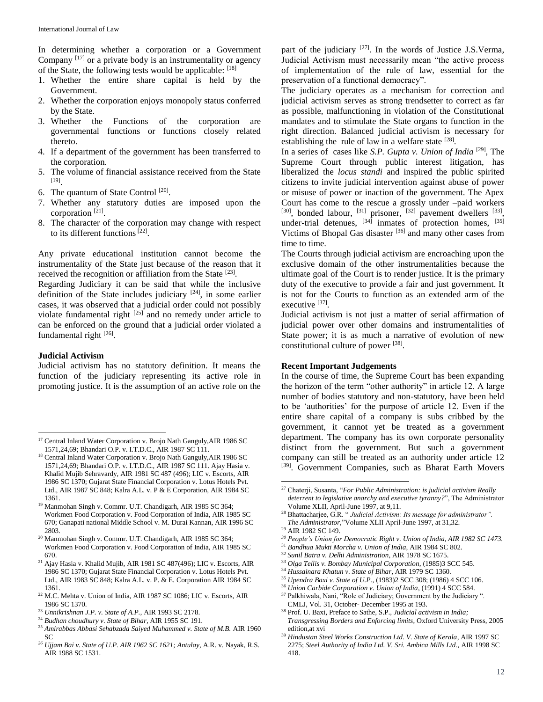In determining whether a corporation or a Government Company [17] or a private body is an instrumentality or agency of the State, the following tests would be applicable: [18]

- 1. Whether the entire share capital is held by the Government.
- 2. Whether the corporation enjoys monopoly status conferred by the State.
- 3. Whether the Functions of the corporation are governmental functions or functions closely related thereto.
- 4. If a department of the government has been transferred to the corporation.
- 5. The volume of financial assistance received from the State [19] .
- 6. The quantum of State Control [20].
- 7. Whether any statutory duties are imposed upon the corporation<sup>[21]</sup>.
- 8. The character of the corporation may change with respect to its different functions<sup>[22]</sup>.

Any private educational institution cannot become the instrumentality of the State just because of the reason that it received the recognition or affiliation from the State [23].

Regarding Judiciary it can be said that while the inclusive definition of the State includes judiciary  $[24]$ , in some earlier cases, it was observed that a judicial order could not possibly violate fundamental right  $[25]$  and no remedy under article to can be enforced on the ground that a judicial order violated a fundamental right [26].

# **Judicial Activism**

 $\overline{a}$ 

Judicial activism has no statutory definition. It means the function of the judiciary representing its active role in promoting justice. It is the assumption of an active role on the

- <sup>19</sup> Manmohan Singh v. Commr. U.T. Chandigarh, AIR 1985 SC 364; Workmen Food Corporation v. Food Corporation of India, AIR 1985 SC 670; Ganapati national Middle School v. M. Durai Kannan, AIR 1996 SC 2803.
- <sup>20</sup> Manmohan Singh v. Commr. U.T. Chandigarh, AIR 1985 SC 364; Workmen Food Corporation v. Food Corporation of India, AIR 1985 SC 670.
- <sup>21</sup> Ajay Hasia v. Khalid Mujib, AIR 1981 SC 487(496); LIC v. Escorts, AIR 1986 SC 1370; Gujarat State Financial Corporation v. Lotus Hotels Pvt. Ltd., AIR 1983 SC 848; Kalra A.L. v. P. & E. Corporation AIR 1984 SC 1361.
- <sup>22</sup> M.C. Mehta v. Union of India, AIR 1987 SC 1086; LIC v. Escorts, AIR 1986 SC 1370.
- <sup>23</sup> *Unnikrishnan J.P. v. State of A.P.,* AIR 1993 SC 2178.
- <sup>24</sup> *Budhan choudhury v. State of Bihar,* AIR 1955 SC 191.
- <sup>25</sup> *Amirabbas Abbasi Sehabzada Saiyed Muhammed v. State of M.B.* AIR 1960 SC
- *<sup>26</sup> Ujjam Bai v. State of U.P. AIR 1962 SC 1621; Antulay,* A.R. v. Nayak, R.S. AIR 1988 SC 1531.

part of the judiciary <sup>[27]</sup>. In the words of Justice J.S.Verma, Judicial Activism must necessarily mean "the active process of implementation of the rule of law, essential for the preservation of a functional democracy".

The judiciary operates as a mechanism for correction and judicial activism serves as strong trendsetter to correct as far as possible, malfunctioning in violation of the Constitutional mandates and to stimulate the State organs to function in the right direction. Balanced judicial activism is necessary for establishing the rule of law in a welfare state  $[28]$ .

In a series of cases like *S.P. Gupta v. Union of India* [29] , The Supreme Court through public interest litigation, has liberalized the *locus standi* and inspired the public spirited citizens to invite judicial intervention against abuse of power or misuse of power or inaction of the government. The Apex Court has come to the rescue a grossly under –paid workers  $[30]$ , bonded labour,  $[31]$  prisoner,  $[32]$  pavement dwellers  $[33]$ , under-trial detenues,  $^{[34]}$  inmates of protection homes,  $^{[35]}$ Victims of Bhopal Gas disaster<sup>[36]</sup> and many other cases from time to time.

The Courts through judicial activism are encroaching upon the exclusive domain of the other instrumentalities because the ultimate goal of the Court is to render justice. It is the primary duty of the executive to provide a fair and just government. It is not for the Courts to function as an extended arm of the executive [37].

Judicial activism is not just a matter of serial affirmation of judicial power over other domains and instrumentalities of State power; it is as much a narrative of evolution of new constitutional culture of power [38].

#### **Recent Important Judgements**

In the course of time, the Supreme Court has been expanding the horizon of the term "other authority" in article 12. A large number of bodies statutory and non-statutory, have been held to be 'authorities' for the purpose of article 12. Even if the entire share capital of a company is subs cribbed by the government, it cannot yet be treated as a government department. The company has its own corporate personality distinct from the government. But such a government company can still be treated as an authority under article 12 [39]. Government Companies, such as Bharat Earth Movers

<sup>29</sup> AIR 1982 SC 149.

 $\overline{a}$ 

- *<sup>30</sup> People's Union for Democratic Right v. Union of India, AIR 1982 SC 1473.*
- <sup>31</sup> *Bandhua Mukti Morcha v. Union of India*, AIR 1984 SC 802.
- <sup>32</sup> *Sunil Batra v. Delhi Administration*, AIR 1978 SC 1675.
- <sup>33</sup> *Olga Tellis v. Bombay Municipal Corporation*, (1985)3 SCC 545.
- <sup>34</sup> *Hussainara Khatun v. State of Bihar*, AIR 1979 SC 1360.
- <sup>35</sup> *Upendra Baxi v. State of U.P.,* (1983)2 SCC 308; (1986) 4 SCC 106.
- <sup>36</sup> *Union Carbide Corporation v. Union of India*, (1991) 4 SCC 584. <sup>37</sup> Palkhiwala, Nani, "Role of Judiciary; Government by the Judiciary ".
- CMLJ, Vol. 31, October- December 1995 at 193.

<sup>39</sup> *Hindustan Steel Works Construction Ltd. V. State of Kerala*, AIR 1997 SC 2275; *Steel Authority of India Ltd. V. Sri. Ambica Mills Ltd.*, AIR 1998 SC 418.

<sup>&</sup>lt;sup>17</sup> Central Inland Water Corporation v. Brojo Nath Ganguly, AIR 1986 SC 1571,24,69; Bhandari O.P. v. I.T.D.C., AIR 1987 SC 111.

<sup>18</sup> Central Inland Water Corporation v. Brojo Nath Ganguly,AIR 1986 SC 1571,24,69; Bhandari O.P. v. I.T.D.C., AIR 1987 SC 111. Ajay Hasia v. Khalid Mujib Sehravardy, AIR 1981 SC 487 (496); LIC v. Escorts, AIR 1986 SC 1370; Gujarat State Financial Corporation v. Lotus Hotels Pvt. Ltd., AIR 1987 SC 848; Kalra A.L. v. P & E Corporation, AIR 1984 SC 1361.

<sup>27</sup> Chaterji, Susanta, "*For Public Administration: is judicial activism Really deterrent to legislative anarchy and executive tyranny?*", The Administrator Volume XLII, April-June 1997, at 9,11.

<sup>28</sup> Bhattacharjee, G.R. " *Judicial Activism: Its message for administrator". The Administrator,*"Volume XLII April-June 1997, at 31,32.

<sup>38</sup> Prof. U. Baxi, Preface to Sathe, S.P., *Judicial activism in India; Transgressing Borders and Enforcing limits*, Oxford University Press, 2005 edition,at xvi